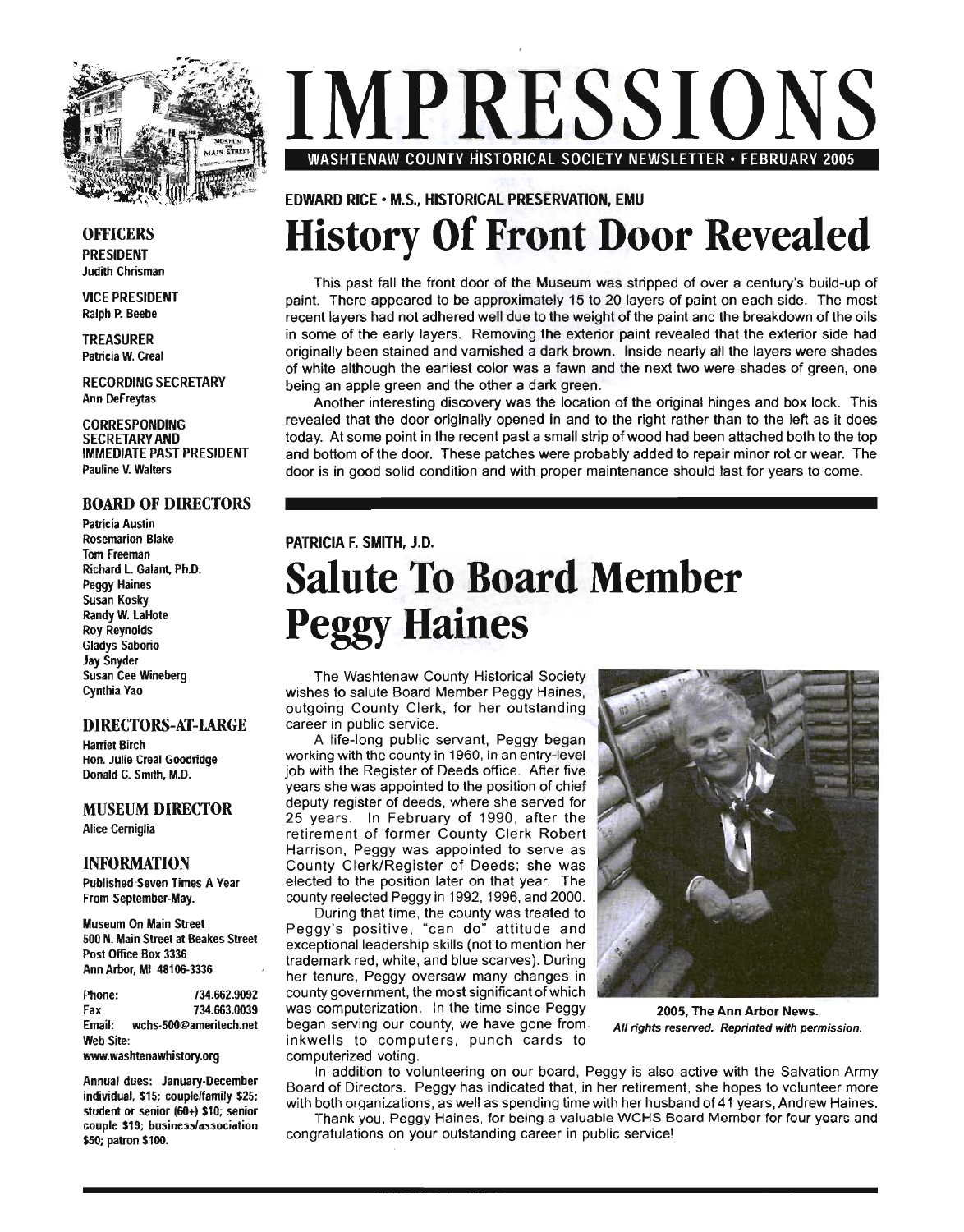

#### **OFFICERS** PRESIDENT **Judith Chrisman**

VICE PRESIDENT Ralph P. Beebe

TREASURER Patricia W. Creal

RECORDING SECRETARY Ann DeFreytas

CORRESPONDING SECRETARY AND IMMEDIATE PAST PRESIDENT Pauline V. Walters

### BOARD OF DIRECTORS

**Patricia Austin** Rosemarion Blake Tom Freeman Richard L. Galan!, Ph.D. Peggy Haines Susan Kosky Randy W. LaHote Roy Reynolds Gladys Saborio Jay Snyder Susan Cee Wineberg Cynthia Yao

#### DIRECTORS-AT-LARGE

Harriel Birch Hon. Julie Creal Goodridge Donald C. Smith, M.D.

### MUSEUM DIRECTOR

Alice Cerniglia

#### INFORMATION

Published Seven Times A Year From Seplember-May.

Museum On Main Streel 500 N. Main Slreel al Beakes Streel Posl Office Box 3336 Ann Arbor, MI 48106-3336

Phone: 734.662.9092 Fax 734.663.0039 Email: wchs-500@amerilech.nel Web Site:

www.washtenawhistory.org

Annual dues: January-December individual, \$15; couple/family \$25; student or senior (60+) \$10; senior couple \$19; business/association \$50; patron \$100.

# **IMPRESSIONS**  WASHTENAW COUNTY HISTORICAL SOCIETY NEWSLETTER· FEBRUARY 2005

EDWARD RICE· M.S., HISTORICAL PRESERVATION, EMU

# **History Of Front Door Revealed**

This past fall the front door of the Museum was stripped of over a century's build-up of paint. There appeared to be approximately 15 to 20 layers of paint on each side. The most recent layers had not adhered well due to the weight of the paint and the breakdown ofthe oils in some of the early layers. Removing the exterior paint revealed that the exterior side had originally been stained and varnished a dark brown. Inside nearly all the layers were shades of white although the earliest color was a fawn and the next two were shades of green, one being an apple green and the other a dark green.

Another interesting discovery was the location of the original hinges and box lock. This revealed that the door originally opened in and to the right rather than to the left as it does today. At some point in the recent past a small strip of wood had been attached both to the top and bottom of the door. These patches were probably added to repair minor rot or wear. The door is in good solid condition and with proper maintenance should last for years to come.

### PATRICIA F. SMITH, J.D. **Salute To Board Member Peggy Haines**

The Washtenaw County Historical Society wishes to salute Board Member Peggy Haines, outgoing County Clerk, for her outstanding career in public service.

A life-long public servant, Peggy began working with the county in 1960, in an entry-level job with the Register of Deeds office. After five years she was appointed to the position of chief deputy register of deeds, where she served for 25 years. In February of 1990, after the retirement of former County Clerk Robert Harrison, Peggy was appointed to serve as County Clerk/Register of Deeds; she was elected to the position later on that year. The county reelected Peggy in 1992, 1996, and 2000.

During that time, the county was treated to Peggy 's positive , "can do" attitude and exceptional leadership skills (not to mention her trademark red, white, and blue scarves). During her tenure, Peggy oversaw many changes in county government, the most significant of which was computerization. In the time since Peggy 2005, The Ann Arbor News. began serving our county, we have gone from All rights reserved. Reprinted with permission. inkwells to computers, punch cards to computerized voting.



In ,addition to volunteering on our board, Peggy is also active with the Salvation Army Board of Directors. Peggy has indicated that, in her retirement, she hopes to volunteer more with both organizations, as well as spending time with her husband of 41 years, Andrew Haines.

Thank you. Peggy Haines. for being a valuable WCHS Board Member for four years and congratulations on your outstanding career in public service!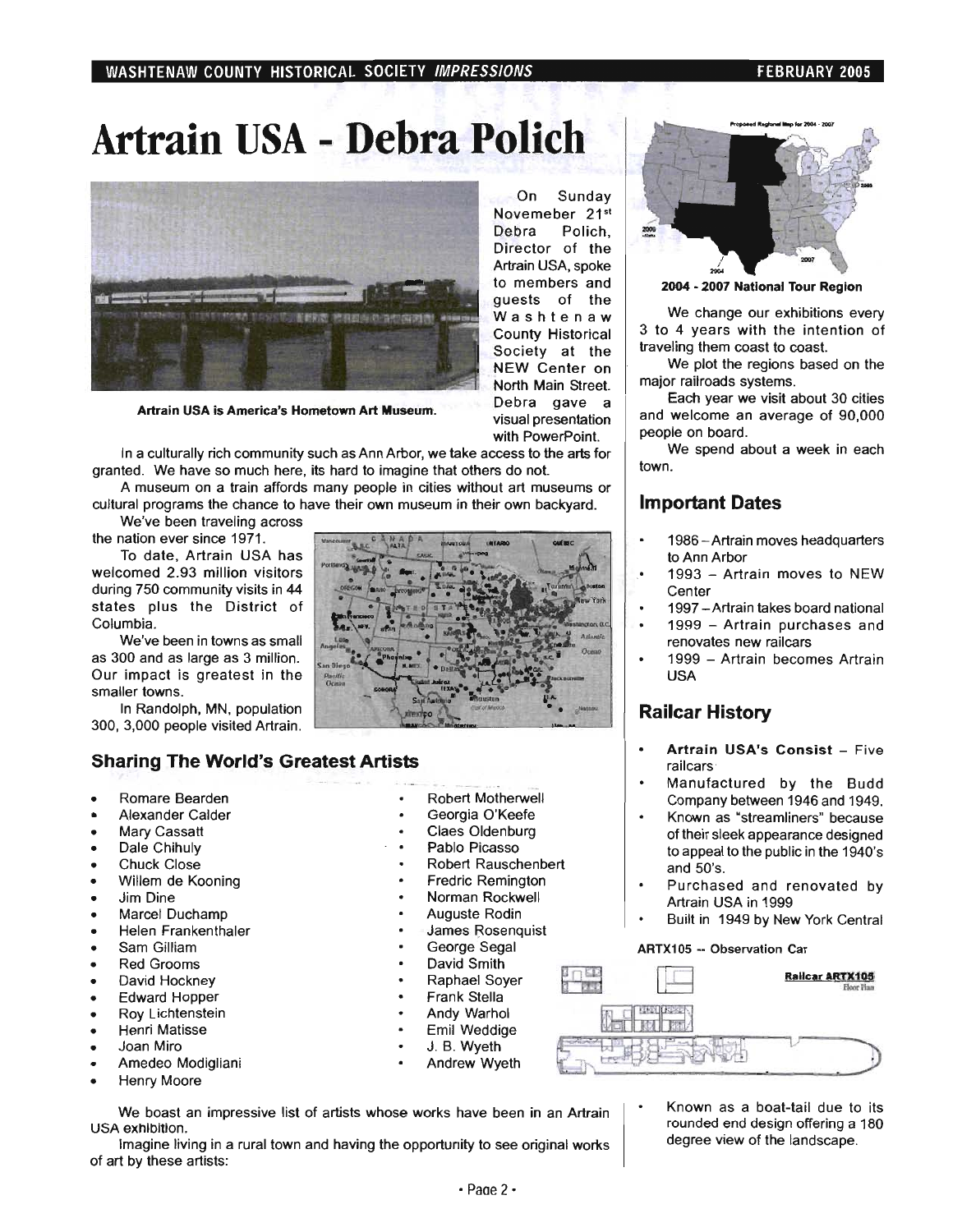### **Artrain USA - Debra Polich**



Artrain USA is America's Hometown Art Museum.

In a culturally rich community such as Ann Arbor, we take access to the arts for granted. We have so much here, its hard to imagine that others do not.

A museum on a train affords many people in cities without art museums or cultural programs the chance to have their own museum in their own backyard.

We've been traveling across the nation ever since 1971.

To date, Artrain USA has welcomed 2.93 million visitors during 750 community visits in 44 states plus the District of. Columbia.

We've been in towns as small as 300 and as large as 3 million. Our impact is greatest in the smaller towns.

In Randolph, MN, population 300, 3,000 people visited Artrain.

### **Sharing The World's Greatest Artists**

- Romare Bearden
- Alexander Calder
- Mary Cassatt
- Dale Chihuly
- Chuck Close
- Willem de Kooning
- Jim Dine
- Marcel Duchamp
- Helen Frankenthaler
- Sam Gilliam
- Red Grooms
- David Hockney
- Edward Hopper
- Roy Lichtenstein
- Henri Matisse
- Joan Miro
- Amedeo Modigliani
- Henry Moore
- Robert Motherwell
- Robert Rauschenbert
- Fredric Remington
- Norman Rockwell
- Auguste Rodin
- James Rosenquist
- George Segal
- David Smith
- Raphael Soyer
- Frank Stella
- Andy Warhol
- Emil Weddige
- J. B. Wyeth
- Andrew Wyeth



2004 - 2007 National Tour Region

We change our exhibitions every 3 to 4 years with the intention of traveling them coast to coast.

We plot the regions based on the major railroads systems.

Each year we visit about 30 cities and welcome an average of 90,000 people on board.

We spend about a week in each town.

### **Important Dates**

- 1986 Artrain moves headquarters to Ann Arbor
- 1993 Artrain moves to NEW **Center**
- 1997 Artrain takes board national
- 1999 Artrain purchases and renovates new railcars
- 1999 Artrain becomes Artrain USA

### **Railcar History**

- $\bullet$ Artrain USA's Consist - Five railcars '
- Manufactured by the Budd Company between 1946 and 1949.
- Known as "streamliners" because of their sleek appearance designed to appeal to the public in the 1940's and 50's.
- Purchased and renovated by Artrain USA in 1999
- Built in 1949 by New York Central

#### ARTX105 -- Observation Car



We boast an impressive list of artists whose works have been in an Artrain USA exhibition.

Imagine living in a rural town and having the opportunity to see original works of art by these artists:

Known as a boat-tail due to its rounded end design offering a 180 degree view of the landscape.

to members and guests of the Washtenaw County Historical Society at the NEW Center on North Main Street. Debra gave a visual presentation with PowerPoint.

On Sunday Novemeber 21st Debra Polich, Director of the Artrain USA, spoke

Georgia O'Keefe Claes Oldenburg Pablo Picasso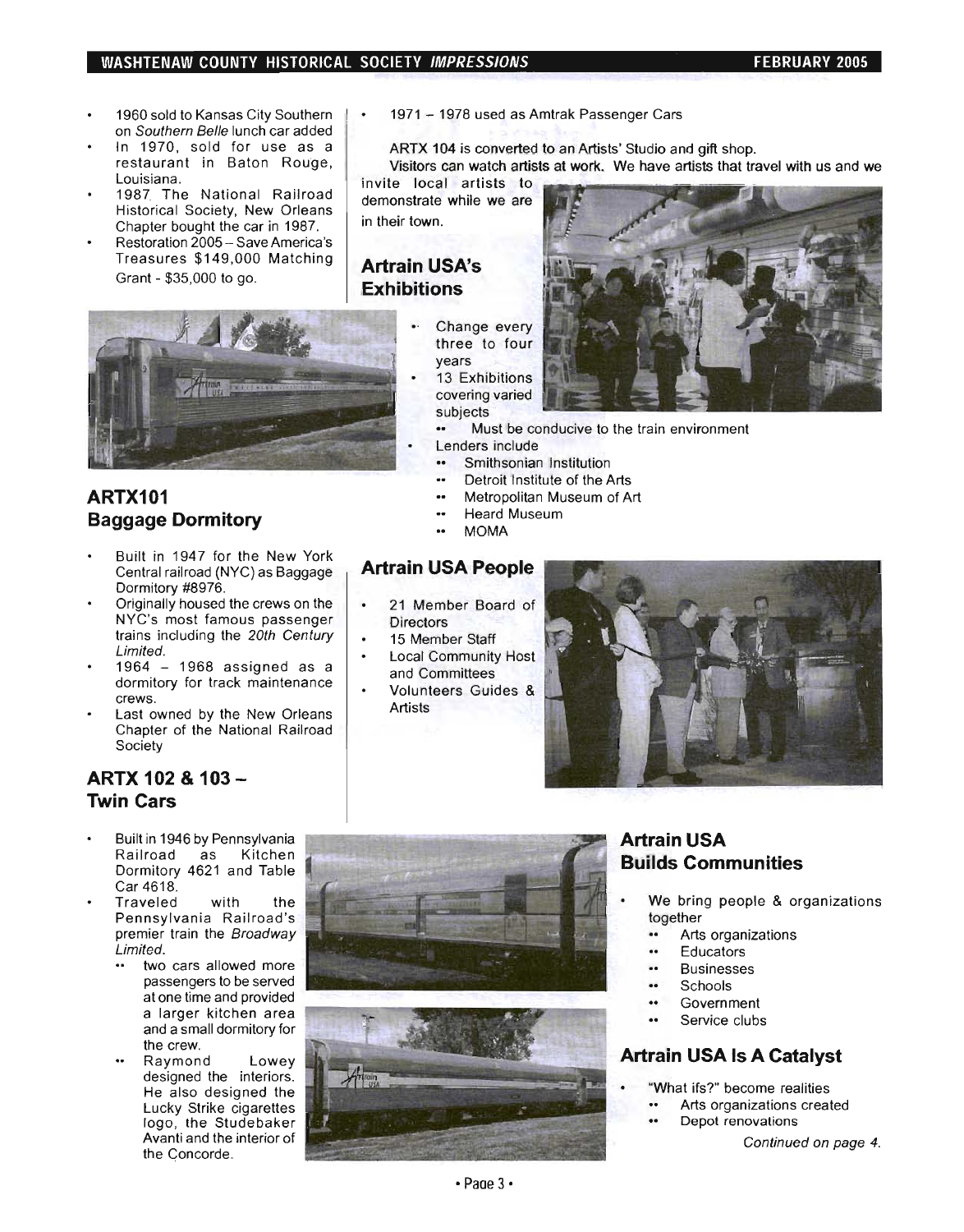### WASHTENAW COUNTY HISTORICAL SOCIETY IMPRESSIONS FEBRUARY 2005

- 1960 sold to Kansas City Southern  $\bullet$ on Southern Belle lunch car added
- In 1970, sold for use as a restaurant in Baton Rouge, Louisiana.
- 1987. The National Railroad Historical Society, New Orleans Chapter bought the car in 1987.
- Restoration 2005 Save America's Treasures \$149,000 Matching Grant - \$35,000 to go.



### **ARTX101 Baggage Dormitory**

- Built in 1947 for the New York Central railroad (NYC) as Baggage Dormitory #8976.
- Originally housed the crews on the NYC's most famous passenger trains including the 20th Century Limited.
- 1964 1968 assigned as a dormitory for track maintenance crews.
- Last owned by the New Orleans Chapter of the National Railroad Society

### **ARTX 102 & 103- Twin Cars**

- Built in 1946 by Pennsylvania Railroad as Kitchen Dormitory 4621 and Table Car 4618.
- Traveled with the Pennsylvania Railroad's premier train the Broadway Limited.
	- two cars allowed more passengers to be served at one time and provided a larger kitchen area and a small dormitory for the crew.
	- Raymond Lowey designed the interiors. He also designed the Lucky Strike cigarettes logo, the Studebaker Avanti and the interior of the Concorde.

1971 - 1978 used as Amtrak Passenger Cars

ARTX 104 is converted to an Artists' Studio and gift shop.

Visitors can watch artists at work. We have artists that travel with us and we

invite local artists to demonstrate while we are in their town.

### **Artrain USA's Exhibitions**

- Change every three to four years
- 13 Exhibitions covering varied subjects
	- Must be conducive to the train environment
	- Lenders include
	- Smithsonian Institution  $\bullet$
	- $\ddot{\phantom{a}}$ Detroit Institute of the Arts
	- $\overline{a}$ Metropolitan Museum of Art
	- .. Heard Museum
	- MOMA  $\ddot{\phantom{a}}$

### **Artrain USA People**

- 21 Member Board of **Directors**
- 15 Member Staff
- Local Community Host and Committees
- Volunteers Guides & Artists







### **Artrain USA Builds Communities**

- We bring people & organizations together
	- .. Arts organizations
	- **Educators**  $\ddot{\phantom{a}}$
	- .. Businesses
	- .. **Schools**
	- .. Government
	- Service clubs

### **Artrain USA Is A Catalyst**

- ·What ifs?" become realities
	- Arts organizations created
	- Depot renovations

Continued on page 4.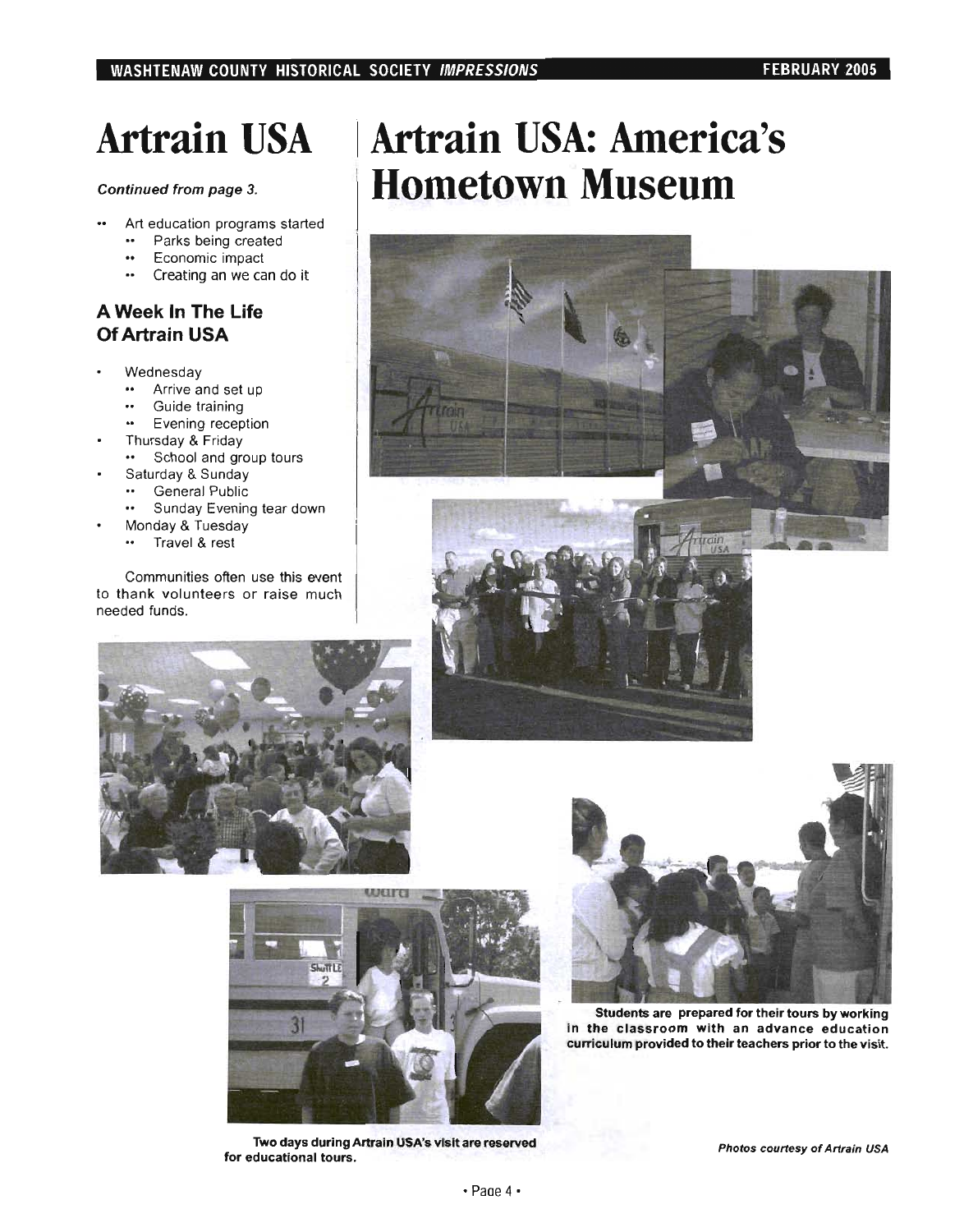### **Artrain USA**

### Continued from page 3.

- $\ddot{\phantom{a}}$ Art education programs started
	- Parks being created
	- $\ddot{\phantom{a}}$ Economic impact
	- Creating an we can do it  $\ddot{\phantom{a}}$

### **A Week In The Life Of Artrain USA**

- Wednesday  $\bullet$ 
	- Arrive and set up
	- Guide training
	- Evening reception
	- Thursday & Friday
	- School and group tours
	- Saturday & Sunday
		- General Public
		- \*\* Sunday Evening tear down
- Monday & Tuesday
	- \* Travel & rest

Communities often use this event to thank volunteers or raise much needed funds.









Two days during Artrain USA's visit are reserved for educational tours.



Students are prepared for their tours by working in the classroom with an advance education curriculum provided to their teachers prior to the visit.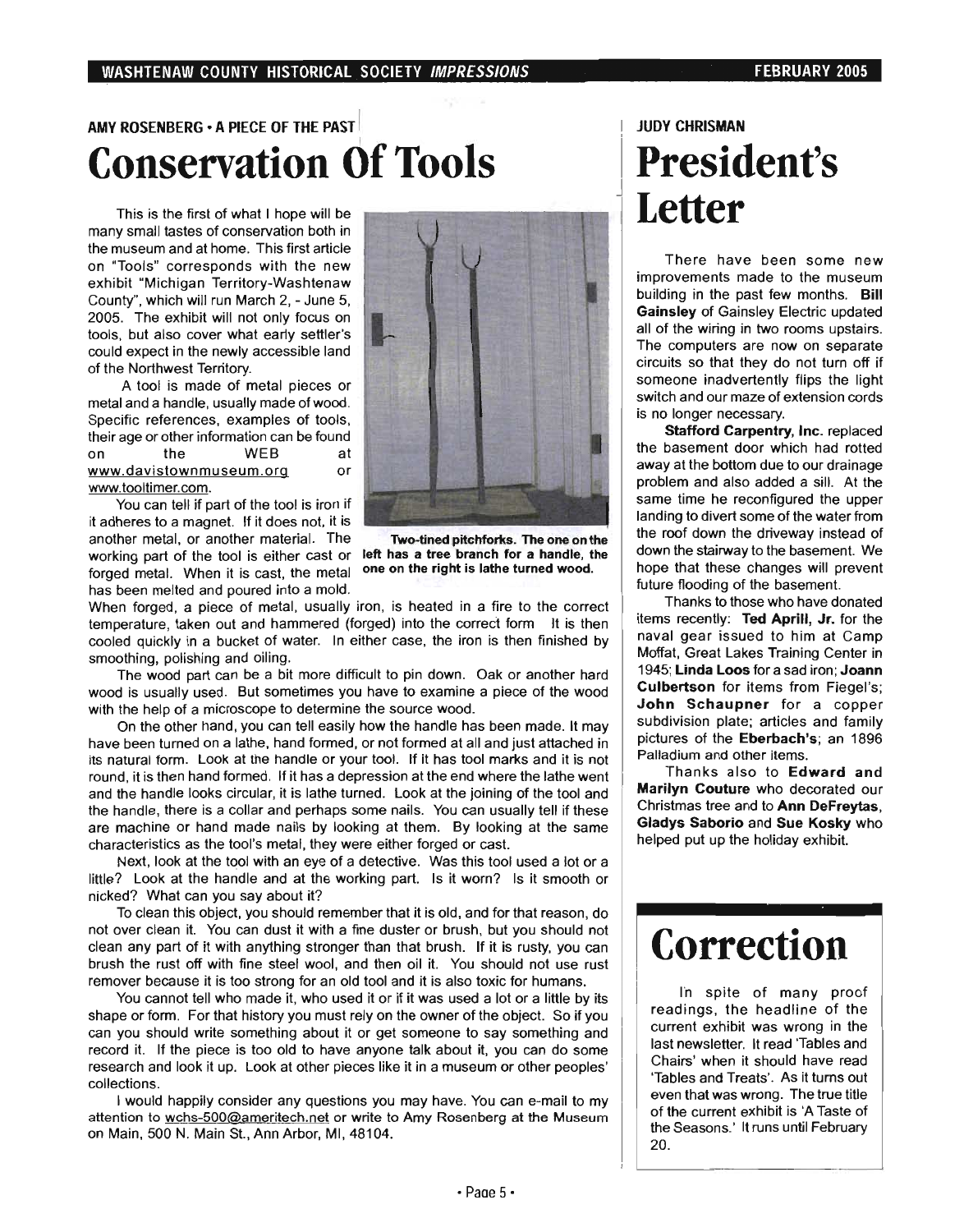### AMY ROSENBERG • A PIECE OF THE PAST I I I JUDY CHRISMAN **Conservation Of Tools I President's**

This is the first of what I hope will be many small tastes of conservation both in the museum and at home. This first article on "Tools" corresponds with the new exhibit "Michigan Territory-Washtenaw County", which will run March 2, - June 5, 2005. The exhibit will not only focus on tools, but also cover what early settler's could expect in the newly accessible land of the Northwest Territory.

A tool is made of metal pieces or metal and a handle, usually made of wood. Specific references, examples of tools, their age or other information can be found on the WEB at www.davistownmuseum.org or www.tooltimer.com.

You can tell if part of the tool is iron if it adheres to a magnet. If it does not, it is another metal, or another material. The working part of the tool is either cast or left has a tree branch for a handle, the forged metal. When it is cast, the metal has been melted and poured into a mold.



Two-tined pitchforks. The one on the one on the right is lathe turned wood.

When forged, a piece of metal, usually iron, is heated in a fire to the correct temperature, taken out and hammered (forged) into the correct form It is then cooled quickly in a bucket of water. In either case, the iron is then finished by smoothing, polishing and oiling.

The wood part can be a bit more difficult to pin down. Oak or another hard wood is usually used. But sometimes you have to examine a piece of the wood with the help of a microscope to determine the source wood.

On the other hand, you can tell easily how the handle has been made. It may have been tumed on a lathe, hand formed, or not formed at all and just attached in its natural form. Look at the handle or your tool. If it has tool marks and it is not round, it is then hand formed. If it has a depression at the end where the lathe went and the handle looks circular, it is lathe tumed. Look at the joining of the tool and the handle, there is a collar and perhaps some nails. You can usually tell if these are machine or hand made nails by looking at them. By looking at the same characteristics as the tool's metal, they were either forged or cast.

Next, look at the tool with an eye of a detective. Was this tool used a lot or a little? Look at the handle and at the working part. Is it worn? Is it smooth or nicked? What can you say about it?

To clean this object, you should remember that it is old, and for that reason, do not over clean it. You can dust it with a fine duster or brush, but you should not clean any part of it with anything stronger than that brush. If it is rusty, you can brush the rust off with fine steel wool, and then oil it. You should not use rust remover because it is too strong for an old tool and it is also toxic for humans.

You cannot tell who made it, who used it or if it was used a lot or a little by its shape or form. For that history you must rely on the owner of the object. So if you can you should write something about it or get someone to say something and record it. If the piece is too old to have anyone talk about it, you can do some research and look it up. Look at other pieces like it in a museum or other peoples' collections.

I would happily consider any questions you may have. You can e-mail to my attention to wchs-500@ameritech.net or write to Amy Rosenberg at the Museum on Main, 500 N. Main St., Ann Arbor, MI, 48104.

# **Letter**

There have been some new improvements made to the museum building in the past few months. Bill Gainsley of Gainsley Electric updated all of the wiring in two rooms upstairs. The computers are now on separate circuits so that they do not turn off if someone inadvertently flips the light switch and our maze of extension cords is no longer necessary.

Stafford Carpentry, Inc. replaced the basement door which had rotted away at the bottom due to our drainage problem and also added a sill. At the same time he reconfigured the upper landing to divert some of the water from the roof down the driveway instead of down the stairway to the basement. We hope that these changes will prevent future flooding of the basement.

Thanks to those who have donated items recently: Ted Aprill, Jr. for the naval gear issued to him at Camp Moffat, Great Lakes Training Center in 1945; Linda Loos for a sad iron; Joann Culbertson for items from Fiegel's: John Schaupner for a copper subdivision plate; articles and family pictures of the Eberbach's; an 1896 Palladium and other items.

Thanks also to Edward and Marilyn Couture who decorated our Christmas tree and to Ann DeFreytas, Gladys Saborio and Sue Kosky who helped put up the holiday exhibit.

### **Correction**

In spite of many proof readings, the headline of the current exhibit was wrong in the last newsletter. It read Tables and Chairs' when it should have read 'Tables and Treats'. As it turns out even that was wrong. The true title of the current exhibit is 'A Taste of the Seasons.' It runs until February 20.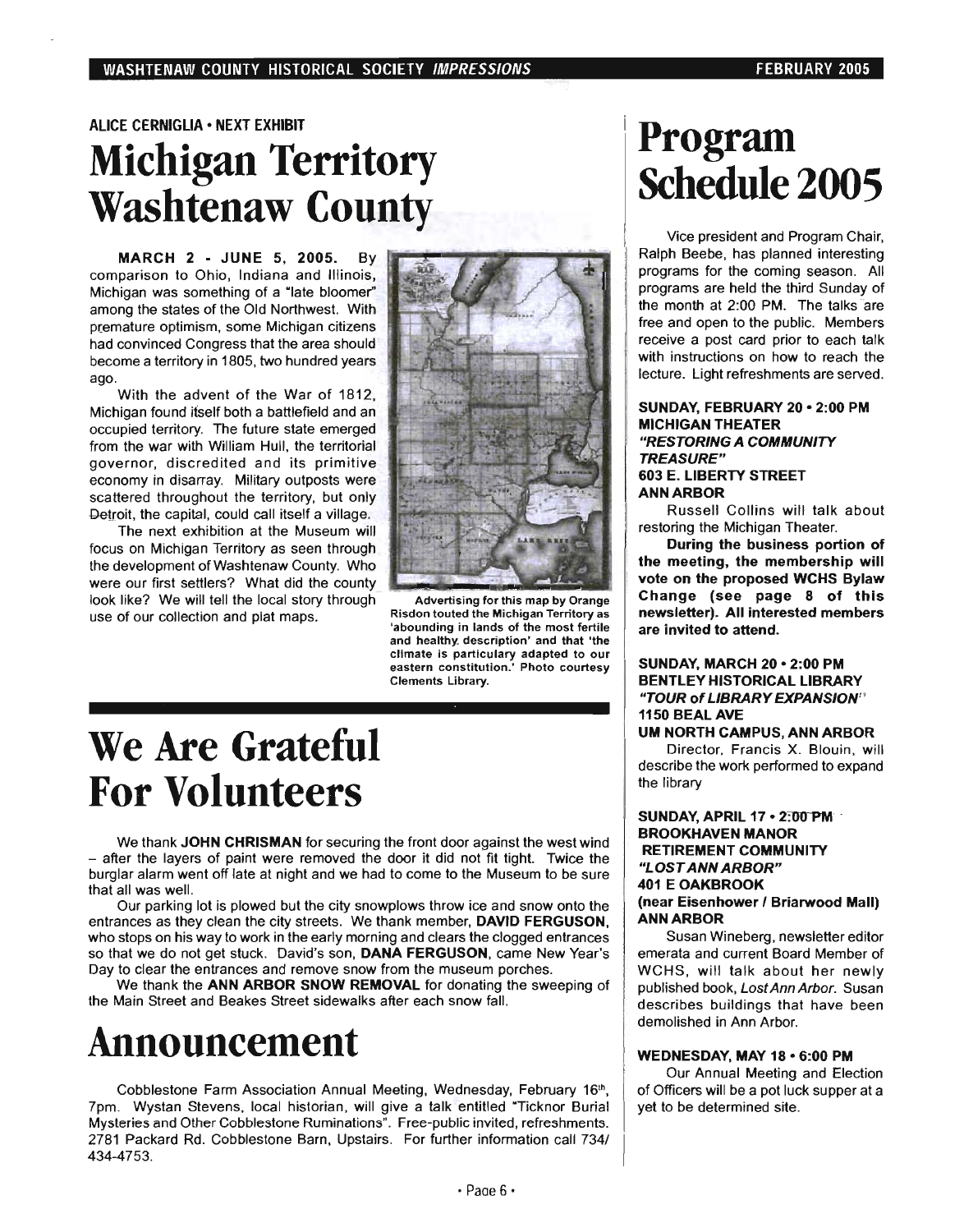### ALICE CERNIGLIA· NEXT EXHIBIT **Michigan Territory Washtenaw County**

MARCH 2 • JUNE 5, 2005. By comparison to Ohio, Indiana and Illinois, Michigan was something of a "late bloomer" among the states of the Old Northwest. With premature optimism, some Michigan citizens had convinced Congress that the area should become a territory in 1805, two hundred years ago.

With the advent of the War of 1812, Michigan found itself both a battlefield and an occupied territory. The future state emerged from the war with William Hull, the territorial governor, discredited and its primitive economy in disarray. Military outposts were scattered throughout the territory, but only Detroit, the capital, could call itself a village.

The next exhibition at the Museum will focus on Michigan Territory as seen through the development of Washtenaw County. Who were our first settlers? What did the county look like? We will tell the local story through use of our collection and plat maps.



Advertising for this map by Orange' Risdon touted the Michigan Territory as 'abounding in lands of the most fertile and healthy\_ description' and that 'the climate is particulary adapted to our eastern constitution.' Photo courtesy Clements Library.

### **We Are Grateful For Volunteers**

We thank JOHN CHRISMAN for securing the front door against the west wind - after the layers of paint were removed the door it did not fit tight. Twice the burglar alarm went off late at night and we had to come to the Museum to be sure that all was well.

Our parking lot is plowed but the city snowplows throw ice and snow onto the entrances as they clean the city streets. We thank member, DAVID FERGUSON, who stops on his way to work in the early morning and clears the clogged entrances so that we do not get stuck. David's son, DANA FERGUSON, came New Year's Day to clear the entrances and remove snow from the museum porches.

We thank the ANN ARBOR SNOW REMOVAL for donating the sweeping of the Main Street and Beakes Street sidewalks after each snow fall.

### **Announcement**

Cobblestone Farm Association Annual Meeting, Wednesday, February 16th, 7pm. Wystan Stevens, local historian, will give a talk entitled "Ticknor Burial Mysteries and Other Cobblestone Ruminations". Free-public invited, refreshments. 2781 Packard Rd. Cobblestone Barn, Upstairs. For further information call 734/ 434-4753.

### **Program Schedule 2005**

Vice president and Program Chair, Ralph Beebe, has planned interesting programs for the coming season. All programs are held the third Sunday of the month at 2:00 PM. The talks are free and open to the public. Members receive a post card prior to each talk with instructions on how to reach the lecture. Light refreshments are served.

#### SUNDAY, FEBRUARY 20 • 2:00 PM MICHIGAN THEATER "RESTORING A COMMUNITY TREASURE" 603 E. LIBERTY STREET ANN ARBOR

Russell Collins will talk about restoring the Michigan Theater.

During the business portion of the meeting, the membership will vote on the proposed WCHS Bylaw Change (see page 8 of this newsletter). All interested members are invited to attend.

### SUNDAY, MARCH 20 • 2:00 PM BENTLEY HISTORICAL LIBRARY "TOUR of LIBRARY EXPANSION" 1150 BEAL AVE

UM NORTH CAMPUS, ANN ARBOR

Director. Francis X. Blouin, will describe the work performed to expand the library

#### SUNDAY, APRIL 17 • 2:oo-PM . BROOKHAVEN MANOR RETIREMENT COMMUNITY "LOST ANN ARBOR" 401 E OAKBROOK (near Eisenhower / Briarwood Mall) ANN ARBOR

Susan Wineberg, newsletter editor emerata and current Board Member of WCHS, will talk about her newly published book, Lost Ann Arbor. Susan describes buildings that have been demolished in Ann Arbor.

#### WEDNESDAY, MAY 18 • 6:00 PM

Our Annual Meeting and Election of Officers will be a pot luck supper at a yet to be determined site.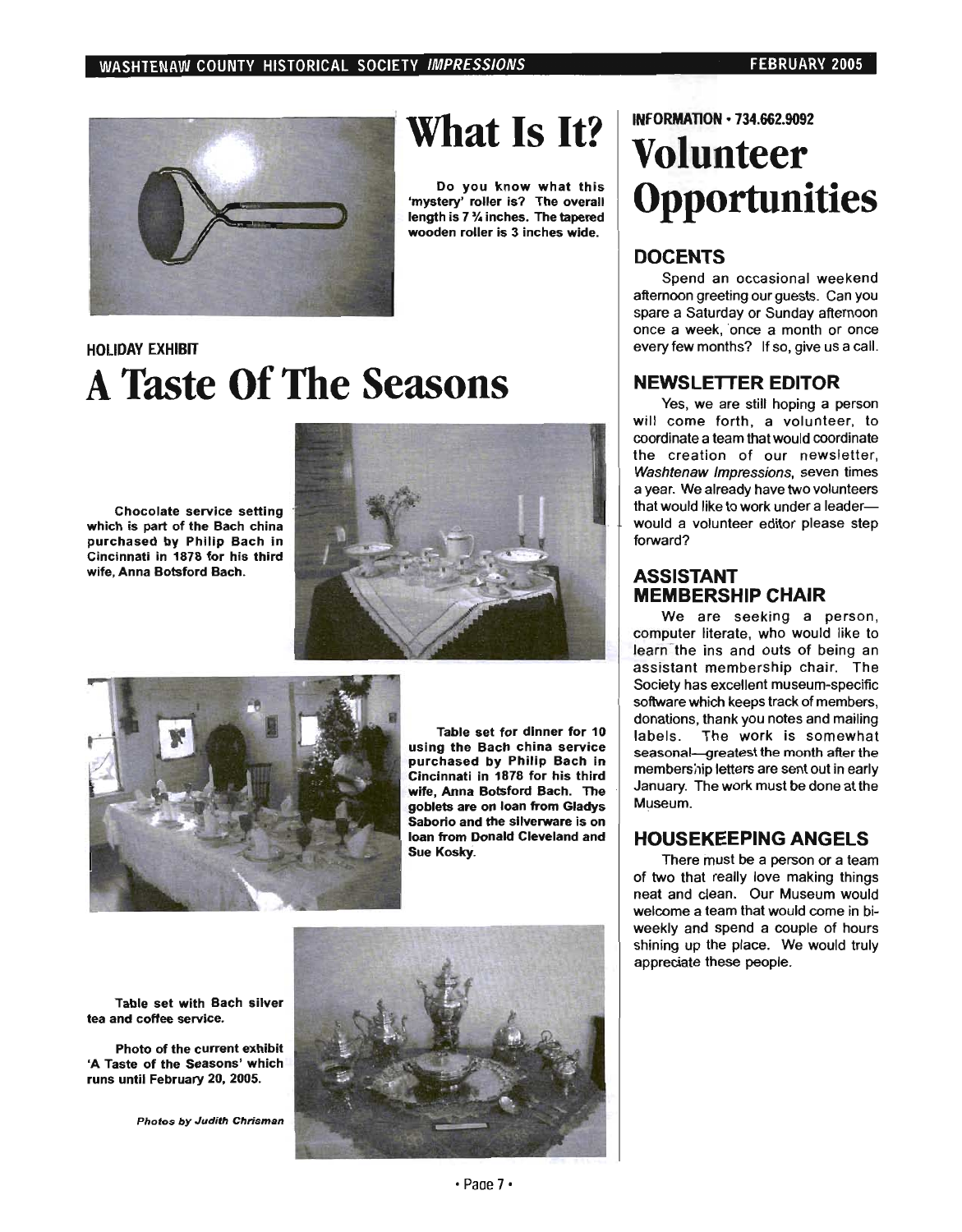

### **What Is It?**

Do you know what this 'mystery' roller is? The overall length is 7 % inches. The tapered wooden roller is 3 inches wide.

### HOLIDAY EXHIBIT **A Taste Of The Seasons**

Chocolate service setting which is part of the Bach china purchased by Philip Bach in Cincinnati in 1878 for his third wife, Anna Botsford Bach.





Table set for dinner for 10 using the Bach china service purchased by Philip Bach in Cincinnati in 1878 for his third wife, Anna Botsford Bach. The goblets are on loan from Gladys Saborio and the silverware is on loan from Donald Cleveland and Sue Kosky.

Table set with Bach silver tea and coffee service.

Photo of the current exhibit 'A Taste of the Seasons' which runs until February 20, 2005.

Photos by Judith Chrisman



INFORMATION· 734.662.9092

### **Volunteer Opportunities**

### **DOCENTS**

Spend an occasional weekend aftemoon greeting our guests. Can you spare a Saturday or Sunday aftemoon once a week, 'once a month or once every few months? If so, give us a call.

### **NEWSLETTER EDITOR**

Yes, we are still hoping a person will come forth, a volunteer, to coordinate a team that would coordinate the creation of our newsletter, Washtenaw Impressions, seven times a year. We already have two volunteers that would like to work under a leaderwould a volunteer editor please step forward?

### **ASSISTANT MEMBERSHIP CHAIR**

We are seeking a person, computer literate, who would like to learn the ins and outs of being an assistant membership chair. The Society has excellent museum-specific software which keeps track of members, donations, thank you notes and mailing labels. The work is somewhat seasonal-greatest the month after the membership letters are sent out in early January. The work must be done at the Museum.

### **HOUSEKEEPING ANGELS**

There must be a person or a team of two that really love making things neat and clean. Our Museum would welcome a team that would come in biweekly and spend a couple of hours shining up the place. We would truly appreciate these people.